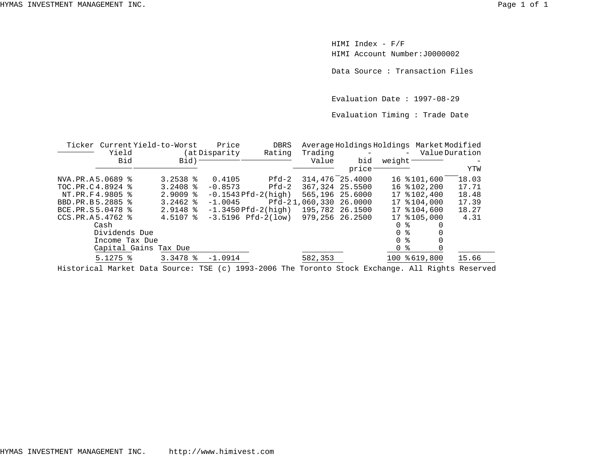HIMI Index - F/F HIMI Account Number:J0000002

Data Source : Transaction Files

Evaluation Date : 1997-08-29

Evaluation Timing : Trade Date

|                  | Ticker Current Yield-to-Worst |                    | Price                     | DBRS                      |                        |                    | Average Holdings Holdings Market Modified |       |
|------------------|-------------------------------|--------------------|---------------------------|---------------------------|------------------------|--------------------|-------------------------------------------|-------|
|                  | Yield                         |                    | (at Disparity)            | Rating                    | Trading                | $\sim$ $-$         | - Value Duration                          |       |
|                  | Bid                           | $Bid$ ) –          |                           |                           | Value                  | bid                | weight-                                   |       |
|                  |                               |                    |                           |                           |                        | price <sup>-</sup> |                                           | YTW   |
| NVA.PR.A5.0689 % |                               | $3.2538$ $%$       | 0.4105                    | Pfd-2                     | 314,476 25.4000        |                    | 16 \$101,600                              | 18.03 |
| TOC.PR.C4.8924 % |                               | $3.2408$ $%$       | $-0.8573$                 | Pfd-2                     | 367, 324 25.5500       |                    | 16 %102,200                               | 17.71 |
| NT.PR.F4.9805 %  |                               | $2.9009$ $\approx$ |                           | $-0.1543$ Pfd $-2$ (high) | 565,196 25,6000        |                    | 17 % 102, 400                             | 18.48 |
| BBD.PR.B5.2885 % |                               | $3.2462$ $8$       | $-1.0045$                 |                           | Pfd-21,060,330 26.0000 |                    | 17 % 104,000                              | 17.39 |
| BCE.PR.S5.0478 % |                               | $2.9148$ %         | $-1.3450$ Pfd $-2$ (high) |                           | 195,782 26.1500        |                    | 17 % 104,600                              | 18.27 |
| CCS.PR.A5.4762 % |                               | $4.5107$ %         |                           | $-3.5196$ Pfd $-2(1$ ow)  | 979,256 26.2500        |                    | 17 % 105,000                              | 4.31  |
|                  | Cash                          |                    |                           |                           |                        |                    | 0 %                                       |       |
|                  | Dividends Due                 |                    |                           |                           |                        |                    | 0 <sup>8</sup>                            |       |
|                  | Income Tax Due                |                    |                           |                           |                        |                    | 0 <sup>8</sup>                            |       |
|                  | Capital Gains Tax Due         |                    |                           |                           |                        |                    | 0 <sup>8</sup>                            |       |
|                  | $5.1275$ $\approx$            | $3.3478$ $%$       | $-1.0914$                 |                           | 582,353                |                    | 100 % 619,800                             | 15.66 |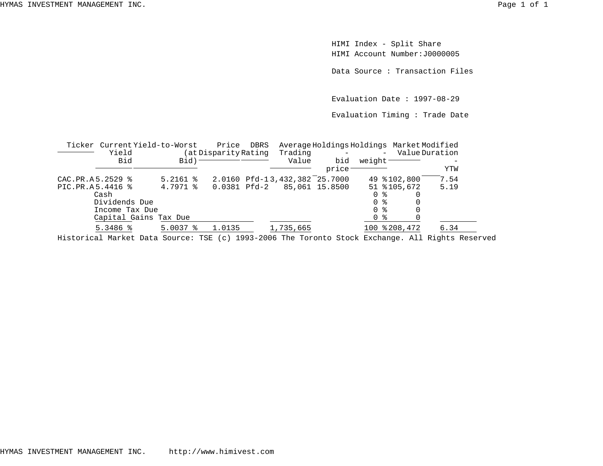HIMI Index - Split Share HIMI Account Number:J0000005

Data Source : Transaction Files

Evaluation Date : 1997-08-29

Evaluation Timing : Trade Date

|                  | Ticker Current Yield-to-Worst                                                                         |            | Price                | DBRS         |                               | Average Holdings Holdings Market Modified |                     |                |
|------------------|-------------------------------------------------------------------------------------------------------|------------|----------------------|--------------|-------------------------------|-------------------------------------------|---------------------|----------------|
|                  | Yield                                                                                                 |            | (at Disparity Rating |              | Trading                       |                                           | $\equiv$            | Value Duration |
|                  | Bid                                                                                                   | Bid)       |                      |              | Value                         | bid                                       | weight <sup>-</sup> |                |
|                  |                                                                                                       |            |                      |              |                               | price                                     |                     | YTW            |
| CAC.PR.A5.2529 % |                                                                                                       | $5.2161$ % |                      |              | 2.0160 Pfd-13,432,382 25.7000 |                                           | 49 \$102,800        | 7.54           |
| PIC.PR.A5.4416 % |                                                                                                       | 4.7971 %   |                      | 0.0381 Pfd-2 |                               | 85,061 15.8500                            | 51 %105,672         | 5.19           |
|                  | Cash                                                                                                  |            |                      |              |                               |                                           | 0 %                 |                |
|                  | Dividends Due                                                                                         |            |                      |              |                               |                                           | 0 %                 |                |
|                  | Income Tax Due                                                                                        |            |                      |              |                               |                                           | 0 %                 |                |
|                  | Capital Gains Tax Due                                                                                 |            |                      |              |                               |                                           | 0 %                 |                |
|                  | $5.3486$ %                                                                                            | $5.0037$ % | 1.0135               |              | 1,735,665                     |                                           | 100 % 208, 472      | 6.34           |
|                  | $H_1^1$ etau 100 Meulet Dete Gouvest MGD (e) 1002.3006 Mbs Meuspts Gtael: Bushanne, 311 Dishts Desaur |            |                      |              |                               |                                           |                     |                |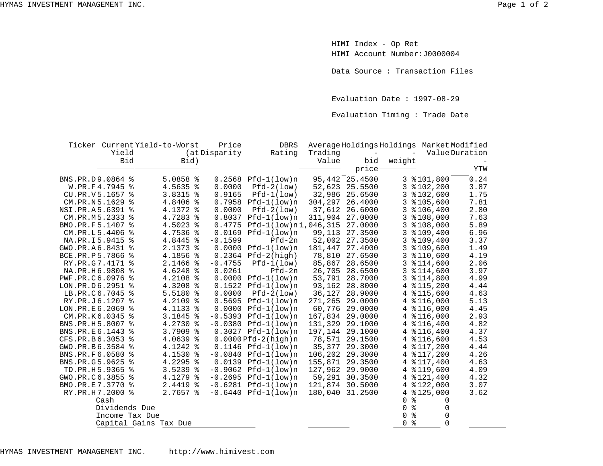HIMI Index - Op Ret HIMI Account Number:J0000004

Data Source : Transaction Files

Evaluation Date : 1997-08-29

Evaluation Timing : Trade Date

|                  |       |                | Ticker Current Yield-to-Worst | Price         | <b>DBRS</b>                     |                 | Average Holdings Holdings Market Modified |                          |                 |                   |
|------------------|-------|----------------|-------------------------------|---------------|---------------------------------|-----------------|-------------------------------------------|--------------------------|-----------------|-------------------|
|                  | Yield |                |                               | (at Disparity | Rating                          | Trading         | $\equiv$                                  | $\overline{\phantom{a}}$ |                 | Value Duration    |
|                  | Bid   |                | $Bid$ ) -                     |               |                                 | Value           | bid                                       | weight-                  |                 |                   |
|                  |       |                |                               |               |                                 |                 | price <sup>-</sup>                        |                          |                 | YTW               |
| BNS.PR.D9.0864 % |       |                | $5.0858$ %                    |               | $0.2568$ Pfd-1(low)n            |                 | 95,442 25.4500                            |                          | $3$ $$101,800$  | $\overline{0.24}$ |
| W.PR.F4.7945 %   |       |                | 4.5635 %                      | 0.0000        | $Pfd-2(low)$                    |                 | 52,623 25.5500                            |                          | $3$ $$102, 200$ | 3.87              |
| CU.PR.V5.1657 %  |       |                | 3.8315 %                      | 0.9165        | $Pfd-1(low)$                    | 32,986          | 25.6500                                   |                          | $3$ $$102,600$  | 1.75              |
| CM.PR.N5.1629 %  |       |                | 4.8406 %                      |               | $0.7958$ Pfd-1(low)n            | 304,297         | 26.4000                                   |                          | $3$ $$105,600$  | 7.81              |
| NSI.PR.A5.6391 % |       |                | 4.1372 %                      | 0.0000        | $Pfd-2(low)$                    | 37,612          | 26.6000                                   |                          | $3$ $$106,400$  | 2.80              |
| CM.PR.M5.2333 %  |       |                | 4.7283 %                      |               | $0.8037$ Pfd-1(low)n            | 311,904         | 27.0000                                   |                          | 3 %108,000      | 7.63              |
| BMO.PR.F5.1407 % |       |                | 4.5023 %                      |               | $0.4775$ $Pfd-1(low)n1,046,315$ |                 | 27.0000                                   |                          | $3$ $$108,000$  | 5.89              |
| CM.PR.L5.4406 %  |       |                | 4.7536 %                      |               | $0.0169$ $Pfd-1(low)n$          | 99,113          | 27.3500                                   |                          | $3$ $$109,400$  | 6.96              |
| NA.PR.I5.9415 %  |       |                | 4.8445 %                      | $-0.1599$     | Pfd-2n                          | 52,002          | 27.3500                                   |                          | $3$ $$109,400$  | 3.37              |
| GWO.PR.A6.8431 % |       |                | 2.1373 %                      |               | $0.0000$ $Pfd-1(low)n$          | 181,447         | 27.4000                                   |                          | $3$ $$109,600$  | 1.49              |
| BCE.PR.P5.7866 % |       |                | 4.1856 %                      |               | $0.2364$ Pfd-2(high)            |                 | 78,810 27.6500                            |                          | $3$ $$110,600$  | 4.19              |
| RY.PR.G7.4171 %  |       |                | 2.1466 %                      | $-0.4755$     | $Pfd-1(low)$                    | 85,867          | 28.6500                                   |                          | $3$ $$114,600$  | 2.06              |
| NA.PR.H6.9808 %  |       |                | 4.6248 %                      | 0.0261        | Pfd-2n                          |                 | 26,705 28.6500                            |                          | $3$ $$114,600$  | 3.97              |
| PWF.PR.C6.0976 % |       |                | 4.2108 %                      |               | $0.0000$ $Pfd-1(low)n$          |                 | 53,791 28.7000                            |                          | $3$ $$114,800$  | 4.99              |
| LON.PR.D6.2951 % |       |                | 4.3208 %                      |               | $0.1522$ Pfd-1(low)n            |                 | 93,162 28.8000                            |                          | 4 % 115, 200    | 4.44              |
| LB.PR.C6.7045 %  |       |                | 5.5180 %                      | 0.0000        | $Pfd-2(1ow)$                    |                 | 36,127 28.9000                            |                          | 4 % 115,600     | 4.63              |
| RY.PR.J6.1207 %  |       |                | 4.2109 %                      |               | $0.5695$ $Pfd-1(low)n$          |                 | 271,265 29.0000                           |                          | 4 % 116,000     | 5.13              |
| LON.PR.E6.2069 % |       |                | 4.1133 %                      |               | $0.0000$ $Pfd-1(low)n$          |                 | 60,776 29.0000                            |                          | 4 % 116,000     | 4.45              |
| CM.PR.K6.0345 %  |       |                | 3.1845 %                      |               | $-0.5393$ Pfd $-1(low)n$        |                 | 167,834 29.0000                           |                          | 4 $$116,000$    | 2.93              |
| BNS.PR.H5.8007 % |       |                | 4.2730 %                      |               | $-0.0380$ Pfd-1(low)n           |                 | 131,329 29.1000                           |                          | $4$ $$116,400$  | 4.82              |
| BNS.PR.E6.1443 % |       |                | $3.7909$ $%$                  |               | $0.3027$ Pfd-1(low)n            |                 | 197,144 29.1000                           |                          | 4 % 116, 400    | 4.37              |
| CFS.PR.B6.3053 % |       |                | $4.0639$ %                    |               | $0.0000Pfd-2(hiqh)n$            |                 | 78,571 29.1500                            |                          | 4 % 116,600     | 4.53              |
| GWO.PR.B6.3584 % |       |                | 4.1242 %                      |               | $0.1146$ Pfd-1(low)n            | 35,377          | 29.3000                                   |                          | 4 $$117,200$    | 4.44              |
| BNS.PR.F6.0580 % |       |                | 4.1530 %                      |               | $-0.0840$ Pfd $-1(low)n$        |                 | 106,202 29.3000                           |                          | 4 % 117, 200    | 4.26              |
| BNS.PR.G5.9625 % |       |                | $4.2295$ %                    |               | $0.0139$ $Pfd-1(low)n$          | 155,871         | 29.3500                                   |                          | 4 % 117, 400    | 4.63              |
| TD.PR.H5.9365 %  |       |                | $3.5239$ $8$                  |               | $-0.9062$ Pfd $-1(low)n$        |                 | 127,962 29.9000                           |                          | 4 % 119,600     | 4.09              |
| GWO.PR.C6.3855 % |       |                | 4.1279 %                      |               | $-0.2695$ Pfd $-1(low)n$        |                 | 59,291 30.3500                            |                          | 4 % 121, 400    | 4.32              |
| BMO.PR.E7.3770 % |       |                | $2.4419$ %                    |               | $-0.6281$ Pfd $-1(low)n$        | 121,874 30.5000 |                                           |                          | 4 %122,000      | 3.07              |
| RY.PR.H7.2000 %  |       |                | 2.7657 %                      |               | $-0.6440$ Pfd $-1(low)n$        |                 | 180,040 31.2500                           |                          | 4 % 125,000     | 3.62              |
|                  | Cash  |                |                               |               |                                 |                 |                                           | ႜ<br>0                   | 0               |                   |
|                  |       | Dividends Due  |                               |               |                                 |                 |                                           | ್ಠಿ<br>0                 | 0               |                   |
|                  |       | Income Tax Due |                               |               |                                 |                 |                                           | 0<br>နွ                  | 0               |                   |
|                  |       |                | Capital Gains Tax Due         |               |                                 |                 |                                           | 0<br>နွ                  | $\Omega$        |                   |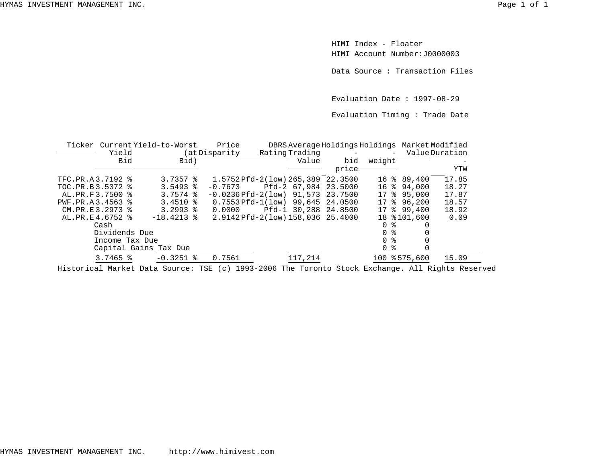HIMI Index - FloaterHIMI Account Number:J0000003

Data Source : Transaction Files

Evaluation Date : 1997-08-29

Evaluation Timing : Trade Date

| Ticker Current Yield-to-Worst |                        |  |                        |  | Price                              |            |         |                      | DBRS Average Holdings Holdings Market Modified |               |       |
|-------------------------------|------------------------|--|------------------------|--|------------------------------------|------------|---------|----------------------|------------------------------------------------|---------------|-------|
|                               | Yield                  |  | (at Disparity)         |  | Rating Trading                     | $\sim$ $-$ |         | - Value Duration     |                                                |               |       |
|                               | Bid                    |  | Bid) <sup>-</sup>      |  |                                    |            | Value   | bid                  | weight <sup>-</sup>                            |               |       |
|                               |                        |  |                        |  |                                    |            |         | price                |                                                |               | YTW   |
| TFC.PR.A3.7192 %              |                        |  | $3.7357$ $\frac{8}{5}$ |  | 1.5752 Pfd-2(low) 265,389 22.3500  |            |         |                      |                                                | 16 % 89,400   | 17.85 |
| TOC.PR.B3.5372 %              |                        |  | $3.5493$ $8$           |  | $-0.7673$                          |            |         | Pfd-2 67,984 23.5000 |                                                | 16 % 94,000   | 18.27 |
| AL.PR.F3.7500 %               |                        |  | $3.7574$ $\approx$     |  | $-0.0236Pfd-2(low)$ 91.573 23.7500 |            |         |                      | 17                                             | 895,000       | 17.87 |
| PWF.PR.A3.4563 %              |                        |  | $3.4510$ %             |  | $0.7553$ Pfd-1(low) 99,645 24.0500 |            |         |                      |                                                | 17 % 96,200   | 18.57 |
| CM.PR.E3.2973 %               |                        |  | $3.2993$ $8$           |  | 0.0000                             |            |         | Pfd-1 30,288 24.8500 |                                                | $17$ % 99,400 | 18.92 |
| AL.PR.E4.6752 %               |                        |  | $-18.4213$ %           |  | 2.9142 Pfd-2(low) 158,036 25.4000  |            |         |                      |                                                | 18 % 101,600  | 0.09  |
|                               | Cash                   |  |                        |  |                                    |            |         |                      | ႜ<br>$\Omega$                                  |               |       |
|                               | Dividends Due          |  |                        |  |                                    |            |         |                      | 0 %                                            |               |       |
|                               | Income Tax Due         |  |                        |  |                                    |            |         |                      | း န<br>$\Omega$                                |               |       |
|                               |                        |  | Capital Gains Tax Due  |  |                                    |            |         |                      | 0 %                                            |               |       |
|                               | $3.7465$ $\frac{8}{3}$ |  | $-0.3251$ %            |  | 0.7561                             |            | 117,214 |                      |                                                | 100 % 575,600 | 15.09 |